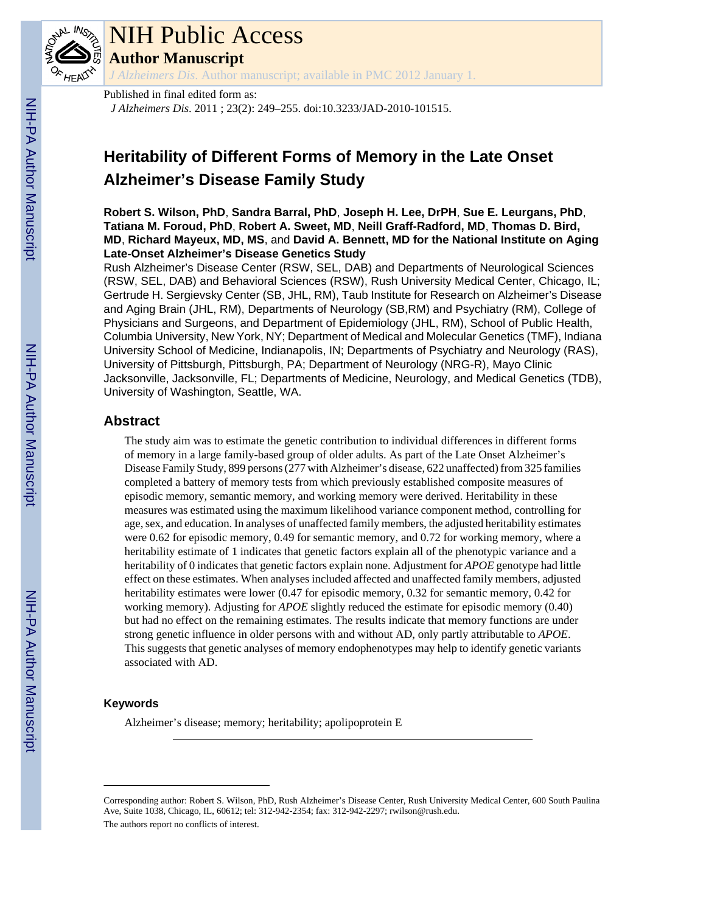

# NIH Public Access

**Author Manuscript**

*J Alzheimers Dis*. Author manuscript; available in PMC 2012 January 1.

Published in final edited form as: *J Alzheimers Dis*. 2011 ; 23(2): 249–255. doi:10.3233/JAD-2010-101515.

# **Heritability of Different Forms of Memory in the Late Onset Alzheimer's Disease Family Study**

**Robert S. Wilson, PhD**, **Sandra Barral, PhD**, **Joseph H. Lee, DrPH**, **Sue E. Leurgans, PhD**, **Tatiana M. Foroud, PhD**, **Robert A. Sweet, MD**, **Neill Graff-Radford, MD**, **Thomas D. Bird, MD**, **Richard Mayeux, MD, MS**, and **David A. Bennett, MD for the National Institute on Aging Late-Onset Alzheimer's Disease Genetics Study**

Rush Alzheimer's Disease Center (RSW, SEL, DAB) and Departments of Neurological Sciences (RSW, SEL, DAB) and Behavioral Sciences (RSW), Rush University Medical Center, Chicago, IL; Gertrude H. Sergievsky Center (SB, JHL, RM), Taub Institute for Research on Alzheimer's Disease and Aging Brain (JHL, RM), Departments of Neurology (SB,RM) and Psychiatry (RM), College of Physicians and Surgeons, and Department of Epidemiology (JHL, RM), School of Public Health, Columbia University, New York, NY; Department of Medical and Molecular Genetics (TMF), Indiana University School of Medicine, Indianapolis, IN; Departments of Psychiatry and Neurology (RAS), University of Pittsburgh, Pittsburgh, PA; Department of Neurology (NRG-R), Mayo Clinic Jacksonville, Jacksonville, FL; Departments of Medicine, Neurology, and Medical Genetics (TDB), University of Washington, Seattle, WA.

# **Abstract**

The study aim was to estimate the genetic contribution to individual differences in different forms of memory in a large family-based group of older adults. As part of the Late Onset Alzheimer's Disease Family Study, 899 persons (277 with Alzheimer's disease, 622 unaffected) from 325 families completed a battery of memory tests from which previously established composite measures of episodic memory, semantic memory, and working memory were derived. Heritability in these measures was estimated using the maximum likelihood variance component method, controlling for age, sex, and education. In analyses of unaffected family members, the adjusted heritability estimates were 0.62 for episodic memory, 0.49 for semantic memory, and 0.72 for working memory, where a heritability estimate of 1 indicates that genetic factors explain all of the phenotypic variance and a heritability of 0 indicates that genetic factors explain none. Adjustment for *APOE* genotype had little effect on these estimates. When analyses included affected and unaffected family members, adjusted heritability estimates were lower (0.47 for episodic memory, 0.32 for semantic memory, 0.42 for working memory). Adjusting for *APOE* slightly reduced the estimate for episodic memory (0.40) but had no effect on the remaining estimates. The results indicate that memory functions are under strong genetic influence in older persons with and without AD, only partly attributable to *APOE*. This suggests that genetic analyses of memory endophenotypes may help to identify genetic variants associated with AD.

# **Keywords**

Alzheimer's disease; memory; heritability; apolipoprotein E

Corresponding author: Robert S. Wilson, PhD, Rush Alzheimer's Disease Center, Rush University Medical Center, 600 South Paulina Ave, Suite 1038, Chicago, IL, 60612; tel: 312-942-2354; fax: 312-942-2297; rwilson@rush.edu. The authors report no conflicts of interest.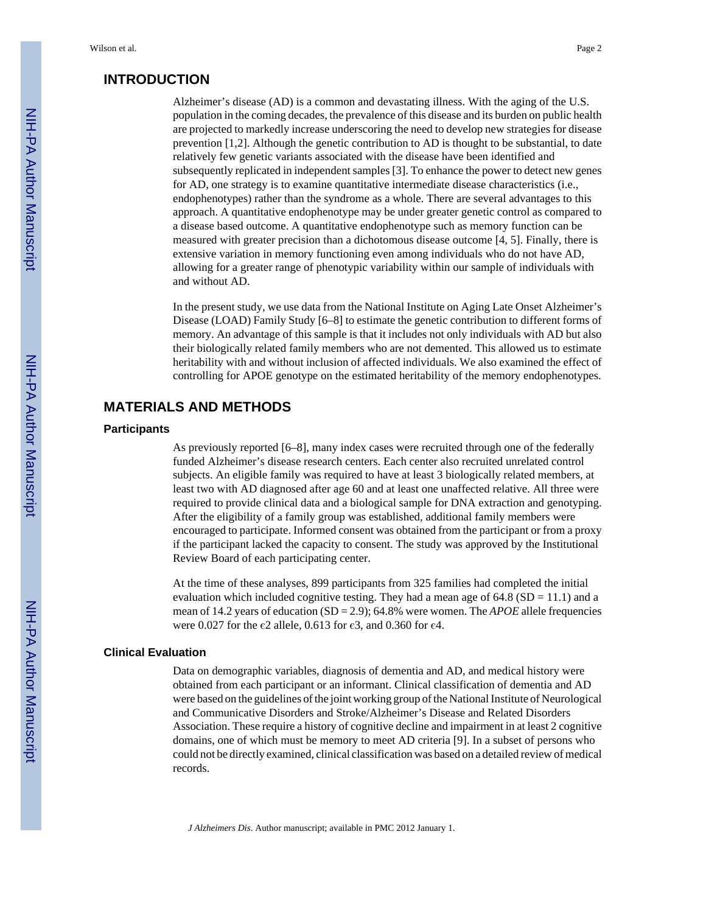### **INTRODUCTION**

Alzheimer's disease (AD) is a common and devastating illness. With the aging of the U.S. population in the coming decades, the prevalence of this disease and its burden on public health are projected to markedly increase underscoring the need to develop new strategies for disease prevention [1,2]. Although the genetic contribution to AD is thought to be substantial, to date relatively few genetic variants associated with the disease have been identified and subsequently replicated in independent samples [3]. To enhance the power to detect new genes for AD, one strategy is to examine quantitative intermediate disease characteristics (i.e., endophenotypes) rather than the syndrome as a whole. There are several advantages to this approach. A quantitative endophenotype may be under greater genetic control as compared to a disease based outcome. A quantitative endophenotype such as memory function can be measured with greater precision than a dichotomous disease outcome [4, 5]. Finally, there is extensive variation in memory functioning even among individuals who do not have AD, allowing for a greater range of phenotypic variability within our sample of individuals with and without AD.

In the present study, we use data from the National Institute on Aging Late Onset Alzheimer's Disease (LOAD) Family Study [6–8] to estimate the genetic contribution to different forms of memory. An advantage of this sample is that it includes not only individuals with AD but also their biologically related family members who are not demented. This allowed us to estimate heritability with and without inclusion of affected individuals. We also examined the effect of controlling for APOE genotype on the estimated heritability of the memory endophenotypes.

# **MATERIALS AND METHODS**

#### **Participants**

As previously reported [6–8], many index cases were recruited through one of the federally funded Alzheimer's disease research centers. Each center also recruited unrelated control subjects. An eligible family was required to have at least 3 biologically related members, at least two with AD diagnosed after age 60 and at least one unaffected relative. All three were required to provide clinical data and a biological sample for DNA extraction and genotyping. After the eligibility of a family group was established, additional family members were encouraged to participate. Informed consent was obtained from the participant or from a proxy if the participant lacked the capacity to consent. The study was approved by the Institutional Review Board of each participating center.

At the time of these analyses, 899 participants from 325 families had completed the initial evaluation which included cognitive testing. They had a mean age of  $64.8$  (SD = 11.1) and a mean of 14.2 years of education (SD = 2.9); 64.8% were women. The *APOE* allele frequencies were 0.027 for the  $\varepsilon$ 2 allele, 0.613 for  $\varepsilon$ 3, and 0.360 for  $\varepsilon$ 4.

#### **Clinical Evaluation**

Data on demographic variables, diagnosis of dementia and AD, and medical history were obtained from each participant or an informant. Clinical classification of dementia and AD were based on the guidelines of the joint working group of the National Institute of Neurological and Communicative Disorders and Stroke/Alzheimer's Disease and Related Disorders Association. These require a history of cognitive decline and impairment in at least 2 cognitive domains, one of which must be memory to meet AD criteria [9]. In a subset of persons who could not be directly examined, clinical classification was based on a detailed review of medical records.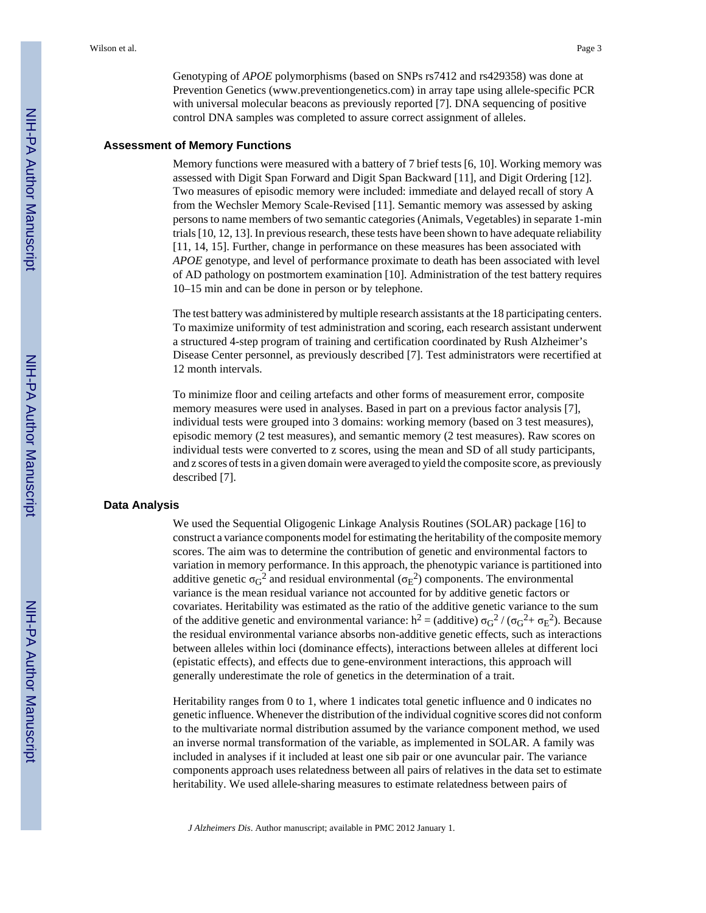Genotyping of *APOE* polymorphisms (based on SNPs rs7412 and rs429358) was done at Prevention Genetics ([www.preventiongenetics.com](http://www.preventiongenetics.com)) in array tape using allele-specific PCR with universal molecular beacons as previously reported [7]. DNA sequencing of positive control DNA samples was completed to assure correct assignment of alleles.

#### **Assessment of Memory Functions**

Memory functions were measured with a battery of 7 brief tests [6, 10]. Working memory was assessed with Digit Span Forward and Digit Span Backward [11], and Digit Ordering [12]. Two measures of episodic memory were included: immediate and delayed recall of story A from the Wechsler Memory Scale-Revised [11]. Semantic memory was assessed by asking persons to name members of two semantic categories (Animals, Vegetables) in separate 1-min trials [10, 12, 13]. In previous research, these tests have been shown to have adequate reliability [11, 14, 15]. Further, change in performance on these measures has been associated with *APOE* genotype, and level of performance proximate to death has been associated with level of AD pathology on postmortem examination [10]. Administration of the test battery requires 10–15 min and can be done in person or by telephone.

The test battery was administered by multiple research assistants at the 18 participating centers. To maximize uniformity of test administration and scoring, each research assistant underwent a structured 4-step program of training and certification coordinated by Rush Alzheimer's Disease Center personnel, as previously described [7]. Test administrators were recertified at 12 month intervals.

To minimize floor and ceiling artefacts and other forms of measurement error, composite memory measures were used in analyses. Based in part on a previous factor analysis [7], individual tests were grouped into 3 domains: working memory (based on 3 test measures), episodic memory (2 test measures), and semantic memory (2 test measures). Raw scores on individual tests were converted to z scores, using the mean and SD of all study participants, and z scores of tests in a given domain were averaged to yield the composite score, as previously described [7].

#### **Data Analysis**

We used the Sequential Oligogenic Linkage Analysis Routines (SOLAR) package [16] to construct a variance components model for estimating the heritability of the composite memory scores. The aim was to determine the contribution of genetic and environmental factors to variation in memory performance. In this approach, the phenotypic variance is partitioned into additive genetic  $\sigma_G^2$  and residual environmental ( $\sigma_E^2$ ) components. The environmental variance is the mean residual variance not accounted for by additive genetic factors or covariates. Heritability was estimated as the ratio of the additive genetic variance to the sum of the additive genetic and environmental variance: h<sup>2</sup> = (additive)  $\sigma$ <sub>G</sub><sup>2</sup> / ( $\sigma$ <sub>G</sub><sup>2</sup>+  $\sigma$ <sub>E</sub><sup>2</sup>). Because the residual environmental variance absorbs non-additive genetic effects, such as interactions between alleles within loci (dominance effects), interactions between alleles at different loci (epistatic effects), and effects due to gene-environment interactions, this approach will generally underestimate the role of genetics in the determination of a trait.

Heritability ranges from 0 to 1, where 1 indicates total genetic influence and 0 indicates no genetic influence. Whenever the distribution of the individual cognitive scores did not conform to the multivariate normal distribution assumed by the variance component method, we used an inverse normal transformation of the variable, as implemented in SOLAR. A family was included in analyses if it included at least one sib pair or one avuncular pair. The variance components approach uses relatedness between all pairs of relatives in the data set to estimate heritability. We used allele-sharing measures to estimate relatedness between pairs of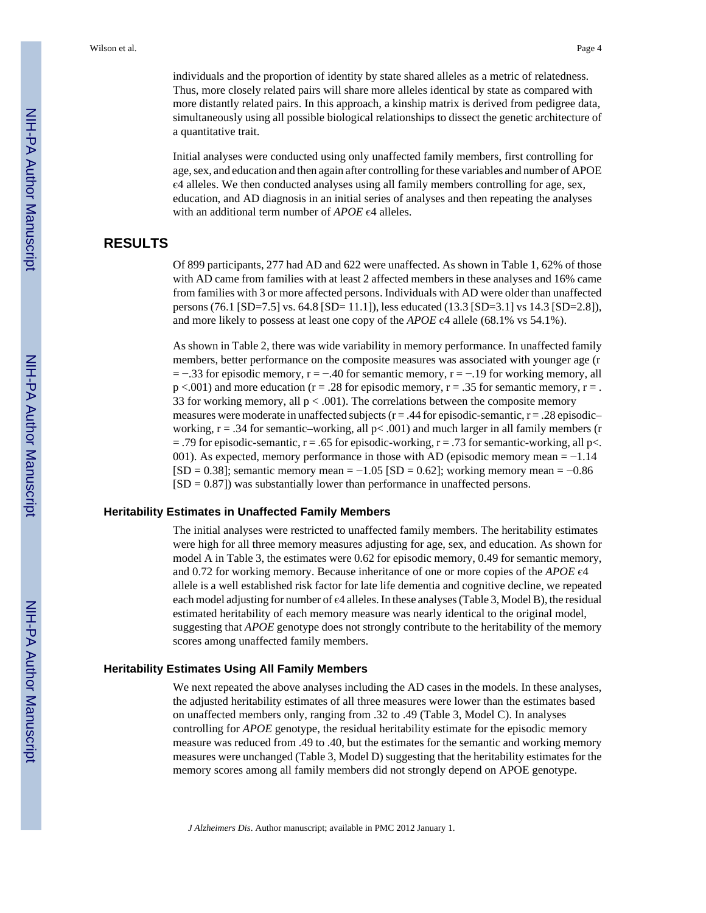individuals and the proportion of identity by state shared alleles as a metric of relatedness. Thus, more closely related pairs will share more alleles identical by state as compared with more distantly related pairs. In this approach, a kinship matrix is derived from pedigree data, simultaneously using all possible biological relationships to dissect the genetic architecture of a quantitative trait.

Initial analyses were conducted using only unaffected family members, first controlling for age, sex, and education and then again after controlling for these variables and number of APOE є4 alleles. We then conducted analyses using all family members controlling for age, sex, education, and AD diagnosis in an initial series of analyses and then repeating the analyses with an additional term number of *APOE* є4 alleles.

# **RESULTS**

Of 899 participants, 277 had AD and 622 were unaffected. As shown in Table 1, 62% of those with AD came from families with at least 2 affected members in these analyses and 16% came from families with 3 or more affected persons. Individuals with AD were older than unaffected persons (76.1 [SD=7.5] vs. 64.8 [SD= 11.1]), less educated (13.3 [SD=3.1] vs 14.3 [SD=2.8]), and more likely to possess at least one copy of the *APOE* є4 allele (68.1% vs 54.1%).

As shown in Table 2, there was wide variability in memory performance. In unaffected family members, better performance on the composite measures was associated with younger age (r  $= -0.33$  for episodic memory, r =  $-0.40$  for semantic memory, r =  $-0.19$  for working memory, all  $p < .001$ ) and more education ( $r = .28$  for episodic memory,  $r = .35$  for semantic memory,  $r = .$ 33 for working memory, all  $p < .001$ ). The correlations between the composite memory measures were moderate in unaffected subjects  $(r = .44$  for episodic-semantic,  $r = .28$  episodicworking,  $r = .34$  for semantic–working, all  $p < .001$ ) and much larger in all family members (r  $=$  .79 for episodic-semantic, r = .65 for episodic-working, r = .73 for semantic-working, all p<. 001). As expected, memory performance in those with AD (episodic memory mean  $= -1.14$ )  $[SD = 0.38]$ ; semantic memory mean = −1.05  $[SD = 0.62]$ ; working memory mean = −0.86  $[SD = 0.87]$  was substantially lower than performance in unaffected persons.

#### **Heritability Estimates in Unaffected Family Members**

The initial analyses were restricted to unaffected family members. The heritability estimates were high for all three memory measures adjusting for age, sex, and education. As shown for model A in Table 3, the estimates were 0.62 for episodic memory, 0.49 for semantic memory, and 0.72 for working memory. Because inheritance of one or more copies of the *APOE* є4 allele is a well established risk factor for late life dementia and cognitive decline, we repeated each model adjusting for number of є4 alleles. In these analyses (Table 3, Model B), the residual estimated heritability of each memory measure was nearly identical to the original model, suggesting that *APOE* genotype does not strongly contribute to the heritability of the memory scores among unaffected family members.

#### **Heritability Estimates Using All Family Members**

We next repeated the above analyses including the AD cases in the models. In these analyses, the adjusted heritability estimates of all three measures were lower than the estimates based on unaffected members only, ranging from .32 to .49 (Table 3, Model C). In analyses controlling for *APOE* genotype, the residual heritability estimate for the episodic memory measure was reduced from .49 to .40, but the estimates for the semantic and working memory measures were unchanged (Table 3, Model D) suggesting that the heritability estimates for the memory scores among all family members did not strongly depend on APOE genotype.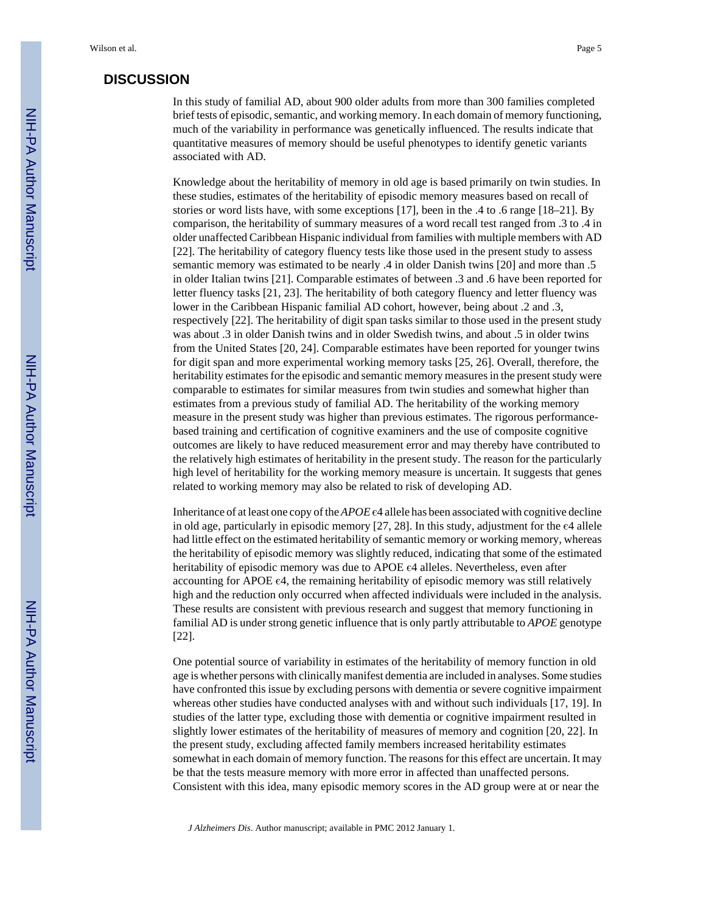#### **DISCUSSION**

In this study of familial AD, about 900 older adults from more than 300 families completed brief tests of episodic, semantic, and working memory. In each domain of memory functioning, much of the variability in performance was genetically influenced. The results indicate that quantitative measures of memory should be useful phenotypes to identify genetic variants associated with AD.

Knowledge about the heritability of memory in old age is based primarily on twin studies. In these studies, estimates of the heritability of episodic memory measures based on recall of stories or word lists have, with some exceptions [17], been in the .4 to .6 range [18–21]. By comparison, the heritability of summary measures of a word recall test ranged from .3 to .4 in older unaffected Caribbean Hispanic individual from families with multiple members with AD [22]. The heritability of category fluency tests like those used in the present study to assess semantic memory was estimated to be nearly .4 in older Danish twins [20] and more than .5 in older Italian twins [21]. Comparable estimates of between .3 and .6 have been reported for letter fluency tasks [21, 23]. The heritability of both category fluency and letter fluency was lower in the Caribbean Hispanic familial AD cohort, however, being about .2 and .3, respectively [22]. The heritability of digit span tasks similar to those used in the present study was about .3 in older Danish twins and in older Swedish twins, and about .5 in older twins from the United States [20, 24]. Comparable estimates have been reported for younger twins for digit span and more experimental working memory tasks [25, 26]. Overall, therefore, the heritability estimates for the episodic and semantic memory measures in the present study were comparable to estimates for similar measures from twin studies and somewhat higher than estimates from a previous study of familial AD. The heritability of the working memory measure in the present study was higher than previous estimates. The rigorous performancebased training and certification of cognitive examiners and the use of composite cognitive outcomes are likely to have reduced measurement error and may thereby have contributed to the relatively high estimates of heritability in the present study. The reason for the particularly high level of heritability for the working memory measure is uncertain. It suggests that genes related to working memory may also be related to risk of developing AD.

Inheritance of at least one copy of the *APOE* є4 allele has been associated with cognitive decline in old age, particularly in episodic memory  $[27, 28]$ . In this study, adjustment for the  $\epsilon$ 4 allele had little effect on the estimated heritability of semantic memory or working memory, whereas the heritability of episodic memory was slightly reduced, indicating that some of the estimated heritability of episodic memory was due to APOE  $\epsilon$ 4 alleles. Nevertheless, even after accounting for APOE  $\epsilon$ 4, the remaining heritability of episodic memory was still relatively high and the reduction only occurred when affected individuals were included in the analysis. These results are consistent with previous research and suggest that memory functioning in familial AD is under strong genetic influence that is only partly attributable to *APOE* genotype [22].

One potential source of variability in estimates of the heritability of memory function in old age is whether persons with clinically manifest dementia are included in analyses. Some studies have confronted this issue by excluding persons with dementia or severe cognitive impairment whereas other studies have conducted analyses with and without such individuals [17, 19]. In studies of the latter type, excluding those with dementia or cognitive impairment resulted in slightly lower estimates of the heritability of measures of memory and cognition [20, 22]. In the present study, excluding affected family members increased heritability estimates somewhat in each domain of memory function. The reasons for this effect are uncertain. It may be that the tests measure memory with more error in affected than unaffected persons. Consistent with this idea, many episodic memory scores in the AD group were at or near the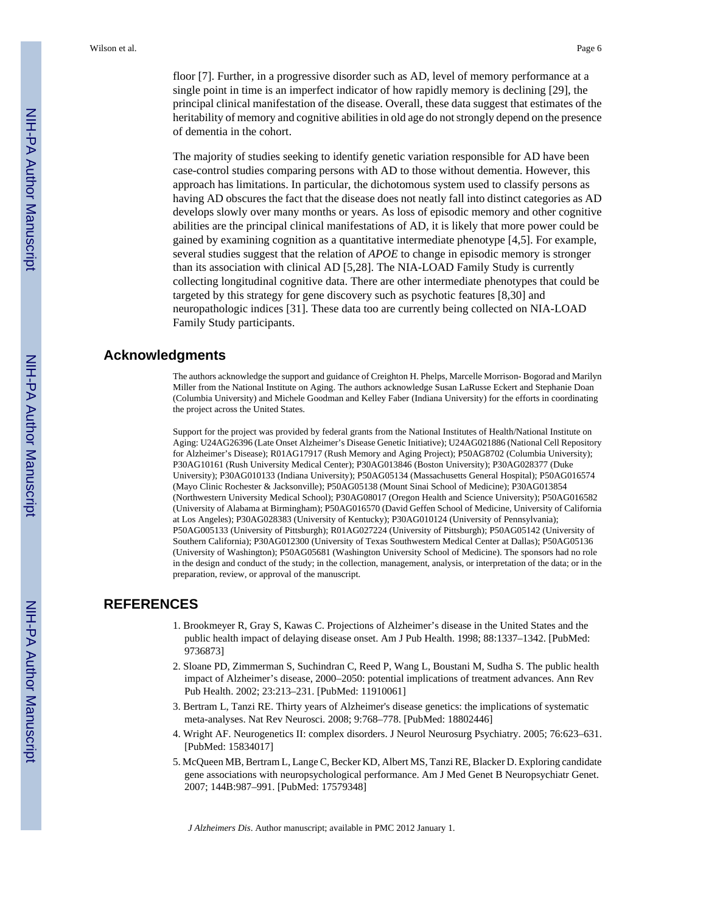floor [7]. Further, in a progressive disorder such as AD, level of memory performance at a single point in time is an imperfect indicator of how rapidly memory is declining [29], the principal clinical manifestation of the disease. Overall, these data suggest that estimates of the heritability of memory and cognitive abilities in old age do not strongly depend on the presence of dementia in the cohort.

The majority of studies seeking to identify genetic variation responsible for AD have been case-control studies comparing persons with AD to those without dementia. However, this approach has limitations. In particular, the dichotomous system used to classify persons as having AD obscures the fact that the disease does not neatly fall into distinct categories as AD develops slowly over many months or years. As loss of episodic memory and other cognitive abilities are the principal clinical manifestations of AD, it is likely that more power could be gained by examining cognition as a quantitative intermediate phenotype [4,5]. For example, several studies suggest that the relation of *APOE* to change in episodic memory is stronger than its association with clinical AD [5,28]. The NIA-LOAD Family Study is currently collecting longitudinal cognitive data. There are other intermediate phenotypes that could be targeted by this strategy for gene discovery such as psychotic features [8,30] and neuropathologic indices [31]. These data too are currently being collected on NIA-LOAD Family Study participants.

# **Acknowledgments**

The authors acknowledge the support and guidance of Creighton H. Phelps, Marcelle Morrison- Bogorad and Marilyn Miller from the National Institute on Aging. The authors acknowledge Susan LaRusse Eckert and Stephanie Doan (Columbia University) and Michele Goodman and Kelley Faber (Indiana University) for the efforts in coordinating the project across the United States.

Support for the project was provided by federal grants from the National Institutes of Health/National Institute on Aging: U24AG26396 (Late Onset Alzheimer's Disease Genetic Initiative); U24AG021886 (National Cell Repository for Alzheimer's Disease); R01AG17917 (Rush Memory and Aging Project); P50AG8702 (Columbia University); P30AG10161 (Rush University Medical Center); P30AG013846 (Boston University); P30AG028377 (Duke University); P30AG010133 (Indiana University); P50AG05134 (Massachusetts General Hospital); P50AG016574 (Mayo Clinic Rochester & Jacksonville); P50AG05138 (Mount Sinai School of Medicine); P30AG013854 (Northwestern University Medical School); P30AG08017 (Oregon Health and Science University); P50AG016582 (University of Alabama at Birmingham); P50AG016570 (David Geffen School of Medicine, University of California at Los Angeles); P30AG028383 (University of Kentucky); P30AG010124 (University of Pennsylvania); P50AG005133 (University of Pittsburgh); R01AG027224 (University of Pittsburgh); P50AG05142 (University of Southern California); P30AG012300 (University of Texas Southwestern Medical Center at Dallas); P50AG05136 (University of Washington); P50AG05681 (Washington University School of Medicine). The sponsors had no role in the design and conduct of the study; in the collection, management, analysis, or interpretation of the data; or in the preparation, review, or approval of the manuscript.

# **REFERENCES**

- 1. Brookmeyer R, Gray S, Kawas C. Projections of Alzheimer's disease in the United States and the public health impact of delaying disease onset. Am J Pub Health. 1998; 88:1337–1342. [PubMed: 9736873]
- 2. Sloane PD, Zimmerman S, Suchindran C, Reed P, Wang L, Boustani M, Sudha S. The public health impact of Alzheimer's disease, 2000–2050: potential implications of treatment advances. Ann Rev Pub Health. 2002; 23:213–231. [PubMed: 11910061]
- 3. Bertram L, Tanzi RE. Thirty years of Alzheimer's disease genetics: the implications of systematic meta-analyses. Nat Rev Neurosci. 2008; 9:768–778. [PubMed: 18802446]
- 4. Wright AF. Neurogenetics II: complex disorders. J Neurol Neurosurg Psychiatry. 2005; 76:623–631. [PubMed: 15834017]
- 5. McQueen MB, Bertram L, Lange C, Becker KD, Albert MS, Tanzi RE, Blacker D. Exploring candidate gene associations with neuropsychological performance. Am J Med Genet B Neuropsychiatr Genet. 2007; 144B:987–991. [PubMed: 17579348]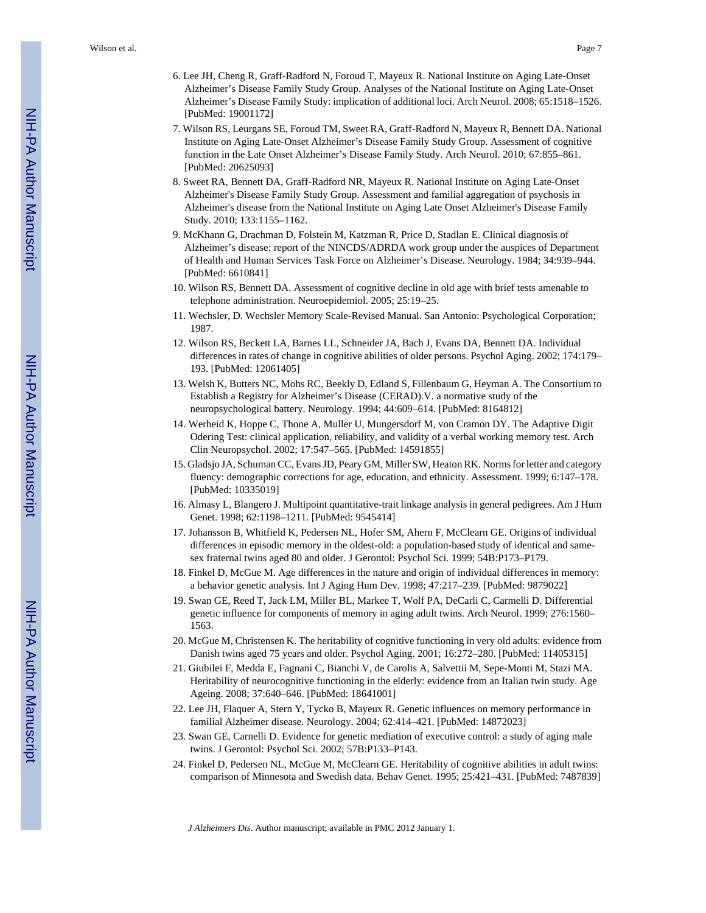- 6. Lee JH, Cheng R, Graff-Radford N, Foroud T, Mayeux R. National Institute on Aging Late-Onset Alzheimer's Disease Family Study Group. Analyses of the National Institute on Aging Late-Onset Alzheimer's Disease Family Study: implication of additional loci. Arch Neurol. 2008; 65:1518–1526. [PubMed: 19001172]
- 7. Wilson RS, Leurgans SE, Foroud TM, Sweet RA, Graff-Radford N, Mayeux R, Bennett DA. National Institute on Aging Late-Onset Alzheimer's Disease Family Study Group. Assessment of cognitive function in the Late Onset Alzheimer's Disease Family Study. Arch Neurol. 2010; 67:855–861. [PubMed: 20625093]
- 8. Sweet RA, Bennett DA, Graff-Radford NR, Mayeux R. National Institute on Aging Late-Onset Alzheimer's Disease Family Study Group. Assessment and familial aggregation of psychosis in Alzheimer's disease from the National Institute on Aging Late Onset Alzheimer's Disease Family Study. 2010; 133:1155–1162.
- 9. McKhann G, Drachman D, Folstein M, Katzman R, Price D, Stadlan E. Clinical diagnosis of Alzheimer's disease: report of the NINCDS/ADRDA work group under the auspices of Department of Health and Human Services Task Force on Alzheimer's Disease. Neurology. 1984; 34:939–944. [PubMed: 6610841]
- 10. Wilson RS, Bennett DA. Assessment of cognitive decline in old age with brief tests amenable to telephone administration. Neuroepidemiol. 2005; 25:19–25.
- 11. Wechsler, D. Wechsler Memory Scale-Revised Manual. San Antonio: Psychological Corporation; 1987.
- 12. Wilson RS, Beckett LA, Barnes LL, Schneider JA, Bach J, Evans DA, Bennett DA. Individual differences in rates of change in cognitive abilities of older persons. Psychol Aging. 2002; 174:179– 193. [PubMed: 12061405]
- 13. Welsh K, Butters NC, Mohs RC, Beekly D, Edland S, Fillenbaum G, Heyman A. The Consortium to Establish a Registry for Alzheimer's Disease (CERAD).V. a normative study of the neuropsychological battery. Neurology. 1994; 44:609–614. [PubMed: 8164812]
- 14. Werheid K, Hoppe C, Thone A, Muller U, Mungersdorf M, von Cramon DY. The Adaptive Digit Odering Test: clinical application, reliability, and validity of a verbal working memory test. Arch Clin Neuropsychol. 2002; 17:547–565. [PubMed: 14591855]
- 15. Gladsjo JA, Schuman CC, Evans JD, Peary GM, Miller SW, Heaton RK. Norms for letter and category fluency: demographic corrections for age, education, and ethnicity. Assessment. 1999; 6:147–178. [PubMed: 10335019]
- 16. Almasy L, Blangero J. Multipoint quantitative-trait linkage analysis in general pedigrees. Am J Hum Genet. 1998; 62:1198–1211. [PubMed: 9545414]
- 17. Johansson B, Whitfield K, Pedersen NL, Hofer SM, Ahern F, McClearn GE. Origins of individual differences in episodic memory in the oldest-old: a population-based study of identical and samesex fraternal twins aged 80 and older. J Gerontol: Psychol Sci. 1999; 54B:P173–P179.
- 18. Finkel D, McGue M. Age differences in the nature and origin of individual differences in memory: a behavior genetic analysis. Int J Aging Hum Dev. 1998; 47:217–239. [PubMed: 9879022]
- 19. Swan GE, Reed T, Jack LM, Miller BL, Markee T, Wolf PA, DeCarli C, Carmelli D. Differential genetic influence for components of memory in aging adult twins. Arch Neurol. 1999; 276:1560– 1563.
- 20. McGue M, Christensen K. The heritability of cognitive functioning in very old adults: evidence from Danish twins aged 75 years and older. Psychol Aging. 2001; 16:272–280. [PubMed: 11405315]
- 21. Giubilei F, Medda E, Fagnani C, Bianchi V, de Carolis A, Salvettii M, Sepe-Monti M, Stazi MA. Heritability of neurocognitive functioning in the elderly: evidence from an Italian twin study. Age Ageing. 2008; 37:640–646. [PubMed: 18641001]
- 22. Lee JH, Flaquer A, Stern Y, Tycko B, Mayeux R. Genetic influences on memory performance in familial Alzheimer disease. Neurology. 2004; 62:414–421. [PubMed: 14872023]
- 23. Swan GE, Carnelli D. Evidence for genetic mediation of executive control: a study of aging male twins. J Gerontol: Psychol Sci. 2002; 57B:P133–P143.
- 24. Finkel D, Pedersen NL, McGue M, McClearn GE. Heritability of cognitive abilities in adult twins: comparison of Minnesota and Swedish data. Behav Genet. 1995; 25:421–431. [PubMed: 7487839]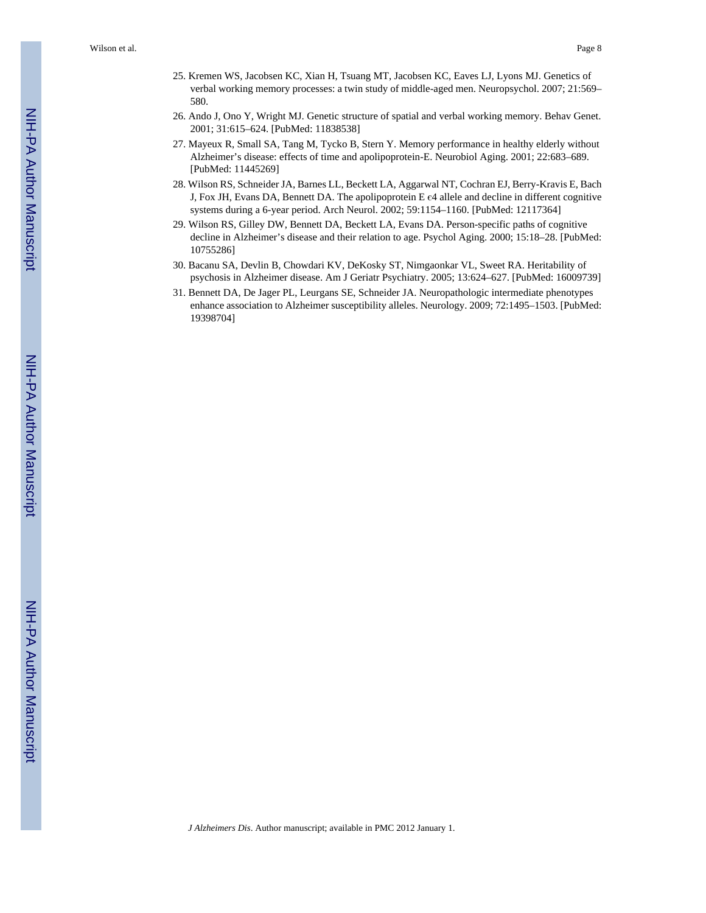- 25. Kremen WS, Jacobsen KC, Xian H, Tsuang MT, Jacobsen KC, Eaves LJ, Lyons MJ. Genetics of verbal working memory processes: a twin study of middle-aged men. Neuropsychol. 2007; 21:569– 580.
- 26. Ando J, Ono Y, Wright MJ. Genetic structure of spatial and verbal working memory. Behav Genet. 2001; 31:615–624. [PubMed: 11838538]
- 27. Mayeux R, Small SA, Tang M, Tycko B, Stern Y. Memory performance in healthy elderly without Alzheimer's disease: effects of time and apolipoprotein-E. Neurobiol Aging. 2001; 22:683–689. [PubMed: 11445269]
- 28. Wilson RS, Schneider JA, Barnes LL, Beckett LA, Aggarwal NT, Cochran EJ, Berry-Kravis E, Bach J, Fox JH, Evans DA, Bennett DA. The apolipoprotein E є4 allele and decline in different cognitive systems during a 6-year period. Arch Neurol. 2002; 59:1154–1160. [PubMed: 12117364]
- 29. Wilson RS, Gilley DW, Bennett DA, Beckett LA, Evans DA. Person-specific paths of cognitive decline in Alzheimer's disease and their relation to age. Psychol Aging. 2000; 15:18–28. [PubMed: 10755286]
- 30. Bacanu SA, Devlin B, Chowdari KV, DeKosky ST, Nimgaonkar VL, Sweet RA. Heritability of psychosis in Alzheimer disease. Am J Geriatr Psychiatry. 2005; 13:624–627. [PubMed: 16009739]
- 31. Bennett DA, De Jager PL, Leurgans SE, Schneider JA. Neuropathologic intermediate phenotypes enhance association to Alzheimer susceptibility alleles. Neurology. 2009; 72:1495–1503. [PubMed: 19398704]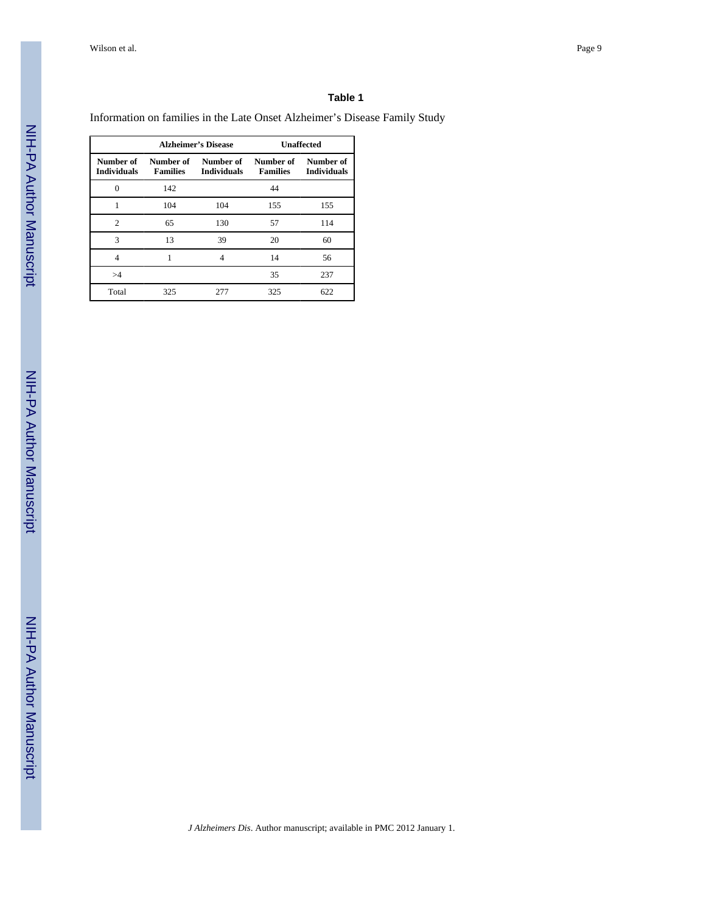#### **Table 1**

Information on families in the Late Onset Alzheimer's Disease Family Study

|                                 |                              | <b>Alzheimer's Disease</b>      | <b>Unaffected</b>            |                                 |
|---------------------------------|------------------------------|---------------------------------|------------------------------|---------------------------------|
| Number of<br><b>Individuals</b> | Number of<br><b>Families</b> | Number of<br><b>Individuals</b> | Number of<br><b>Families</b> | Number of<br><b>Individuals</b> |
| $\Omega$                        | 142                          |                                 | 44                           |                                 |
|                                 | 104                          | 104                             | 155                          | 155                             |
| $\overline{c}$                  | 65                           | 130                             | 57                           | 114                             |
| 3                               | 13                           | 39                              | 20                           | 60                              |
| 4                               |                              |                                 | 14                           | 56                              |
| >4                              |                              |                                 | 35                           | 237                             |
| Total                           | 325                          | 277                             | 325                          | 622                             |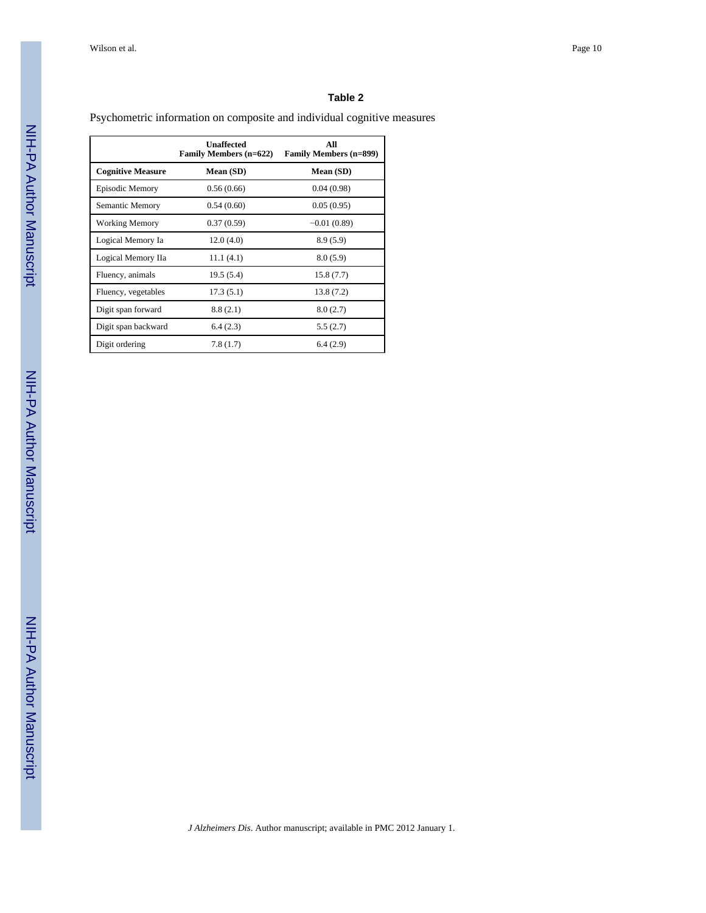#### **Table 2**

# Psychometric information on composite and individual cognitive measures

|                          | <b>Unaffected</b><br><b>Family Members (n=622)</b> | All<br><b>Family Members (n=899)</b> |
|--------------------------|----------------------------------------------------|--------------------------------------|
| <b>Cognitive Measure</b> | Mean (SD)                                          | Mean (SD)                            |
| Episodic Memory          | 0.56(0.66)                                         | 0.04(0.98)                           |
| Semantic Memory          | 0.54(0.60)                                         | 0.05(0.95)                           |
| <b>Working Memory</b>    | 0.37(0.59)                                         | $-0.01(0.89)$                        |
| Logical Memory Ia        | 12.0(4.0)                                          | 8.9(5.9)                             |
| Logical Memory IIa       | 11.1(4.1)                                          | 8.0(5.9)                             |
| Fluency, animals         | 19.5 (5.4)                                         | 15.8(7.7)                            |
| Fluency, vegetables      | 17.3(5.1)                                          | 13.8(7.2)                            |
| Digit span forward       | 8.8(2.1)                                           | 8.0(2.7)                             |
| Digit span backward      | 6.4(2.3)                                           | 5.5(2.7)                             |
| Digit ordering           | 7.8(1.7)                                           | 6.4(2.9)                             |